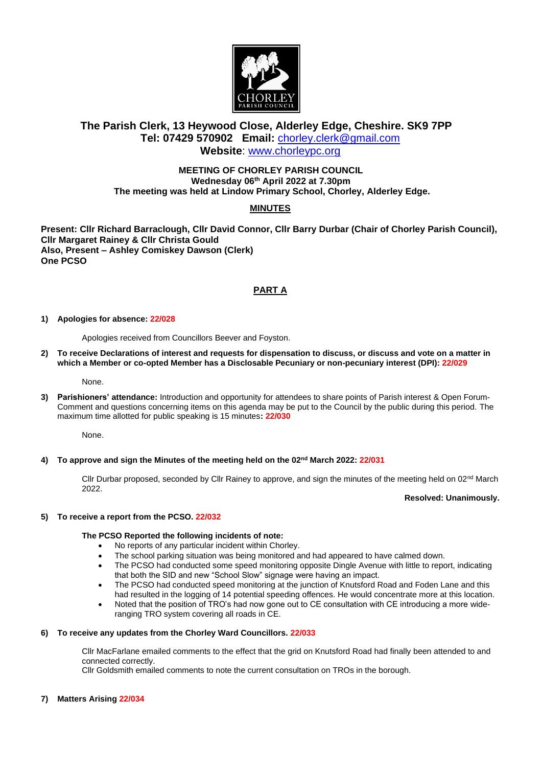

# **The Parish Clerk, 13 Heywood Close, Alderley Edge, Cheshire. SK9 7PP Tel: 07429 570902 Email:** [chorley.clerk@gmail.com](mailto:chorley.clerk@gmail.com) **Website**: [www.chorleypc.org](http://www.chorleypc.org/)

## **MEETING OF CHORLEY PARISH COUNCIL Wednesday 06 th April 2022 at 7.30pm The meeting was held at Lindow Primary School, Chorley, Alderley Edge.**

# **MINUTES**

**Present: Cllr Richard Barraclough, Cllr David Connor, Cllr Barry Durbar (Chair of Chorley Parish Council), Cllr Margaret Rainey & Cllr Christa Gould Also, Present – Ashley Comiskey Dawson (Clerk) One PCSO**

# **PART A**

## **1) Apologies for absence: 22/028**

Apologies received from Councillors Beever and Foyston.

**2) To receive Declarations of interest and requests for dispensation to discuss, or discuss and vote on a matter in which a Member or co-opted Member has a Disclosable Pecuniary or non-pecuniary interest (DPI): 22/029**

None.

**3) Parishioners' attendance:** Introduction and opportunity for attendees to share points of Parish interest & Open Forum-Comment and questions concerning items on this agenda may be put to the Council by the public during this period. The maximum time allotted for public speaking is 15 minutes**: 22/030**

None.

## **4) To approve and sign the Minutes of the meeting held on the 02nd March 2022: 22/031**

Cllr Durbar proposed, seconded by Cllr Rainey to approve, and sign the minutes of the meeting held on 02<sup>nd</sup> March 2022.

#### **Resolved: Unanimously.**

## **5) To receive a report from the PCSO. 22/032**

## **The PCSO Reported the following incidents of note:**

- No reports of any particular incident within Chorley.
- The school parking situation was being monitored and had appeared to have calmed down.
- The PCSO had conducted some speed monitoring opposite Dingle Avenue with little to report, indicating that both the SID and new "School Slow" signage were having an impact.
- The PCSO had conducted speed monitoring at the junction of Knutsford Road and Foden Lane and this had resulted in the logging of 14 potential speeding offences. He would concentrate more at this location.
- Noted that the position of TRO's had now gone out to CE consultation with CE introducing a more wideranging TRO system covering all roads in CE.

## **6) To receive any updates from the Chorley Ward Councillors. 22/033**

Cllr MacFarlane emailed comments to the effect that the grid on Knutsford Road had finally been attended to and connected correctly.

Cllr Goldsmith emailed comments to note the current consultation on TROs in the borough.

## **7) Matters Arising 22/034**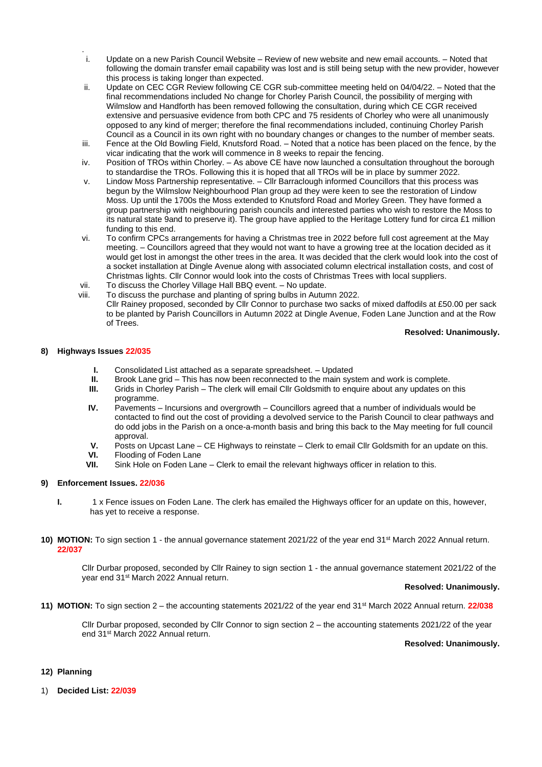- . i. Update on a new Parish Council Website – Review of new website and new email accounts. – Noted that following the domain transfer email capability was lost and is still being setup with the new provider, however this process is taking longer than expected.
- ii. Update on CEC CGR Review following CE CGR sub-committee meeting held on 04/04/22. Noted that the final recommendations included No change for Chorley Parish Council, the possibility of merging with Wilmslow and Handforth has been removed following the consultation, during which CE CGR received extensive and persuasive evidence from both CPC and 75 residents of Chorley who were all unanimously opposed to any kind of merger; therefore the final recommendations included, continuing Chorley Parish Council as a Council in its own right with no boundary changes or changes to the number of member seats.
- iii. Fence at the Old Bowling Field, Knutsford Road. Noted that a notice has been placed on the fence, by the vicar indicating that the work will commence in 8 weeks to repair the fencing.
- iv. Position of TROs within Chorley. As above CE have now launched a consultation throughout the borough to standardise the TROs. Following this it is hoped that all TROs will be in place by summer 2022.
- v. Lindow Moss Partnership representative. Cllr Barraclough informed Councillors that this process was begun by the Wilmslow Neighbourhood Plan group ad they were keen to see the restoration of Lindow Moss. Up until the 1700s the Moss extended to Knutsford Road and Morley Green. They have formed a group partnership with neighbouring parish councils and interested parties who wish to restore the Moss to its natural state 9and to preserve it). The group have applied to the Heritage Lottery fund for circa £1 million funding to this end.
- vi. To confirm CPCs arrangements for having a Christmas tree in 2022 before full cost agreement at the May meeting. – Councillors agreed that they would not want to have a growing tree at the location decided as it would get lost in amongst the other trees in the area. It was decided that the clerk would look into the cost of a socket installation at Dingle Avenue along with associated column electrical installation costs, and cost of Christmas lights. Cllr Connor would look into the costs of Christmas Trees with local suppliers.
- vii. To discuss the Chorley Village Hall BBQ event. No update.<br>viii. To discuss the purchase and planting of spring bulbs in Autur
- To discuss the purchase and planting of spring bulbs in Autumn 2022. Cllr Rainey proposed, seconded by Cllr Connor to purchase two sacks of mixed daffodils at £50.00 per sack to be planted by Parish Councillors in Autumn 2022 at Dingle Avenue, Foden Lane Junction and at the Row of Trees.

#### **Resolved: Unanimously.**

#### **8) Highways Issues 22/035**

- **I.** Consolidated List attached as a separate spreadsheet. Updated
- **II.** Brook Lane grid This has now been reconnected to the main system and work is complete.<br>**III.** Grids in Chorley Parish The clerk will email ClIr Goldsmith to enguire about any updates on
- Grids in Chorley Parish The clerk will email Cllr Goldsmith to enquire about any updates on this programme.
- **IV.** Pavements Incursions and overgrowth Councillors agreed that a number of individuals would be contacted to find out the cost of providing a devolved service to the Parish Council to clear pathways and do odd jobs in the Parish on a once-a-month basis and bring this back to the May meeting for full council approval.
- **V.** Posts on Upcast Lane CE Highways to reinstate Clerk to email Cllr Goldsmith for an update on this.
- **VI.** Flooding of Foden Lane<br>**VII.** Sink Hole on Foden Lan
- Sink Hole on Foden Lane Clerk to email the relevant highways officer in relation to this.

#### **9) Enforcement Issues. 22/036**

- **I.** 1 x Fence issues on Foden Lane. The clerk has emailed the Highways officer for an update on this, however, has yet to receive a response.
- **10) MOTION:** To sign section 1 the annual governance statement 2021/22 of the year end 31<sup>st</sup> March 2022 Annual return. **22/037**

Cllr Durbar proposed, seconded by Cllr Rainey to sign section 1 - the annual governance statement 2021/22 of the year end 31st March 2022 Annual return.

#### **Resolved: Unanimously.**

**11) MOTION:** To sign section 2 – the accounting statements 2021/22 of the year end 31st March 2022 Annual return. **22/038**

Cllr Durbar proposed, seconded by Cllr Connor to sign section 2 – the accounting statements 2021/22 of the year end 31st March 2022 Annual return.

### **Resolved: Unanimously.**

## **12) Planning**

1) **Decided List: 22/039**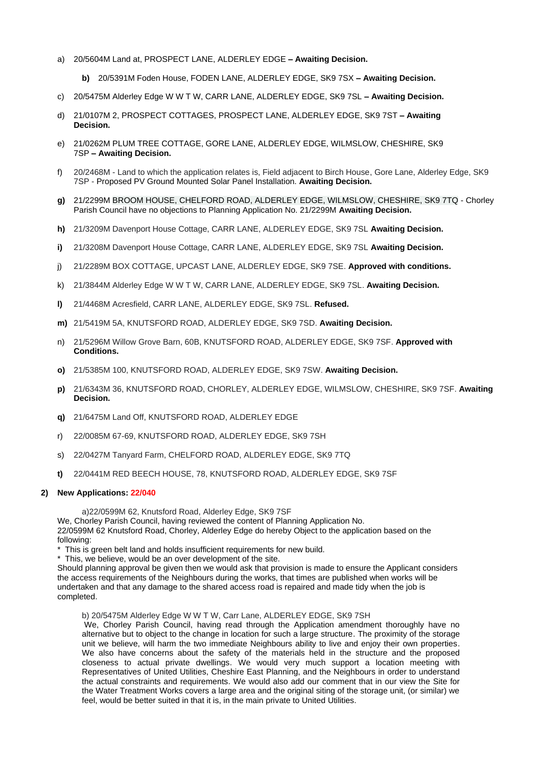- a) 20/5604M Land at, PROSPECT LANE, ALDERLEY EDGE **– Awaiting Decision.**
	- **b)** 20/5391M Foden House, FODEN LANE, ALDERLEY EDGE, SK9 7SX **– Awaiting Decision.**
- c) 20/5475M Alderley Edge W W T W, CARR LANE, ALDERLEY EDGE, SK9 7SL **– Awaiting Decision.**
- d) 21/0107M 2, PROSPECT COTTAGES, PROSPECT LANE, ALDERLEY EDGE, SK9 7ST **– Awaiting Decision.**
- e) 21/0262M PLUM TREE COTTAGE, GORE LANE, ALDERLEY EDGE, WILMSLOW, CHESHIRE, SK9 7SP **– Awaiting Decision.**
- f) 20/2468M Land to which the application relates is, Field adjacent to Birch House, Gore Lane, Alderley Edge, SK9 7SP - Proposed PV Ground Mounted Solar Panel Installation. **Awaiting Decision.**
- **g)** 21/2299M BROOM HOUSE, CHELFORD ROAD, ALDERLEY EDGE, WILMSLOW, CHESHIRE, SK9 7TQ Chorley Parish Council have no objections to Planning Application No. 21/2299M **Awaiting Decision.**
- **h)** 21/3209M Davenport House Cottage, CARR LANE, ALDERLEY EDGE, SK9 7SL **Awaiting Decision.**
- **i)** 21/3208M Davenport House Cottage, CARR LANE, ALDERLEY EDGE, SK9 7SL **Awaiting Decision.**
- j) 21/2289M BOX COTTAGE, UPCAST LANE, ALDERLEY EDGE, SK9 7SE. **Approved with conditions.**
- k) 21/3844M Alderley Edge W W T W, CARR LANE, ALDERLEY EDGE, SK9 7SL. **Awaiting Decision.**
- **l)** 21/4468M Acresfield, CARR LANE, ALDERLEY EDGE, SK9 7SL. **Refused.**
- **m)** 21/5419M 5A, KNUTSFORD ROAD, ALDERLEY EDGE, SK9 7SD. **Awaiting Decision.**
- n) 21/5296M Willow Grove Barn, 60B, KNUTSFORD ROAD, ALDERLEY EDGE, SK9 7SF. **Approved with Conditions.**
- **o)** 21/5385M 100, KNUTSFORD ROAD, ALDERLEY EDGE, SK9 7SW. **Awaiting Decision.**
- **p)** 21/6343M 36, KNUTSFORD ROAD, CHORLEY, ALDERLEY EDGE, WILMSLOW, CHESHIRE, SK9 7SF. **Awaiting Decision.**
- **q)** 21/6475M Land Off, KNUTSFORD ROAD, ALDERLEY EDGE
- r) 22/0085M 67-69, KNUTSFORD ROAD, ALDERLEY EDGE, SK9 7SH
- s) 22/0427M Tanyard Farm, CHELFORD ROAD, ALDERLEY EDGE, SK9 7TQ
- **t)** 22/0441M RED BEECH HOUSE, 78, KNUTSFORD ROAD, ALDERLEY EDGE, SK9 7SF

#### **2) New Applications: 22/040**

a)22/0599M 62, Knutsford Road, Alderley Edge, SK9 7SF

We, Chorley Parish Council, having reviewed the content of Planning Application No. 22/0599M 62 Knutsford Road, Chorley, Alderley Edge do hereby Object to the application based on the following:

This is green belt land and holds insufficient requirements for new build.

\* This, we believe, would be an over development of the site.

Should planning approval be given then we would ask that provision is made to ensure the Applicant considers the access requirements of the Neighbours during the works, that times are published when works will be undertaken and that any damage to the shared access road is repaired and made tidy when the job is completed.

b) 20/5475M Alderley Edge W W T W, Carr Lane, ALDERLEY EDGE, SK9 7SH

We, Chorley Parish Council, having read through the Application amendment thoroughly have no alternative but to object to the change in location for such a large structure. The proximity of the storage unit we believe, will harm the two immediate Neighbours ability to live and enjoy their own properties. We also have concerns about the safety of the materials held in the structure and the proposed closeness to actual private dwellings. We would very much support a location meeting with Representatives of United Utilities, Cheshire East Planning, and the Neighbours in order to understand the actual constraints and requirements. We would also add our comment that in our view the Site for the Water Treatment Works covers a large area and the original siting of the storage unit, (or similar) we feel, would be better suited in that it is, in the main private to United Utilities.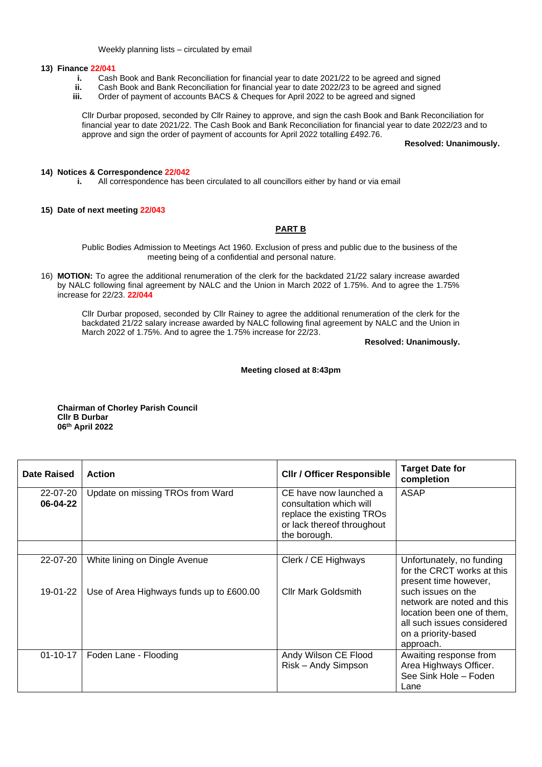Weekly planning lists – circulated by email

#### **13) Finance 22/041**

- **i.** Cash Book and Bank Reconciliation for financial year to date 2021/22 to be agreed and signed<br>**ii.** Cash Book and Bank Reconciliation for financial year to date 2022/23 to be agreed and signed
- **ii.** Cash Book and Bank Reconciliation for financial year to date 2022/23 to be agreed and signed
- **iii.** Order of payment of accounts BACS & Cheques for April 2022 to be agreed and signed

Cllr Durbar proposed, seconded by Cllr Rainey to approve, and sign the cash Book and Bank Reconciliation for financial year to date 2021/22. The Cash Book and Bank Reconciliation for financial year to date 2022/23 and to approve and sign the order of payment of accounts for April 2022 totalling £492.76.

**Resolved: Unanimously.**

### **14) Notices & Correspondence 22/042**

**i.** All correspondence has been circulated to all councillors either by hand or via email

### **15) Date of next meeting 22/043**

# **PART B**

Public Bodies Admission to Meetings Act 1960. Exclusion of press and public due to the business of the meeting being of a confidential and personal nature.

16) **MOTION:** To agree the additional renumeration of the clerk for the backdated 21/22 salary increase awarded by NALC following final agreement by NALC and the Union in March 2022 of 1.75%. And to agree the 1.75% increase for 22/23. **22/044**

Cllr Durbar proposed, seconded by Cllr Rainey to agree the additional renumeration of the clerk for the backdated 21/22 salary increase awarded by NALC following final agreement by NALC and the Union in March 2022 of 1.75%. And to agree the 1.75% increase for 22/23.

**Resolved: Unanimously.**

### **Meeting closed at 8:43pm**

**Chairman of Chorley Parish Council Cllr B Durbar 06 th April 2022**

| Date Raised          | Action                                   | <b>CIIr / Officer Responsible</b>                                                                                            | <b>Target Date for</b><br>completion                                                                                                             |
|----------------------|------------------------------------------|------------------------------------------------------------------------------------------------------------------------------|--------------------------------------------------------------------------------------------------------------------------------------------------|
| 22-07-20<br>06-04-22 | Update on missing TROs from Ward         | CE have now launched a<br>consultation which will<br>replace the existing TROs<br>or lack thereof throughout<br>the borough. | ASAP                                                                                                                                             |
|                      |                                          |                                                                                                                              |                                                                                                                                                  |
| 22-07-20             | White lining on Dingle Avenue            | Clerk / CE Highways                                                                                                          | Unfortunately, no funding<br>for the CRCT works at this<br>present time however,                                                                 |
| 19-01-22             | Use of Area Highways funds up to £600.00 | <b>Cllr Mark Goldsmith</b>                                                                                                   | such issues on the<br>network are noted and this<br>location been one of them,<br>all such issues considered<br>on a priority-based<br>approach. |
| $01 - 10 - 17$       | Foden Lane - Flooding                    | Andy Wilson CE Flood<br>Risk - Andy Simpson                                                                                  | Awaiting response from<br>Area Highways Officer.<br>See Sink Hole - Foden<br>Lane                                                                |